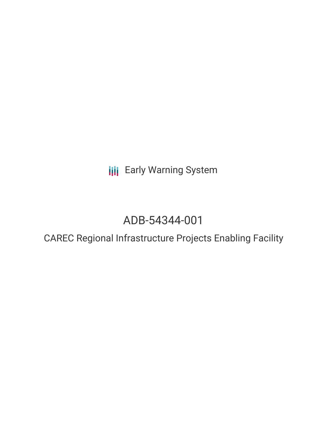**III** Early Warning System

# ADB-54344-001

# CAREC Regional Infrastructure Projects Enabling Facility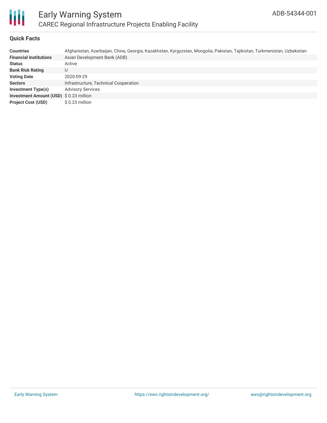

### **Quick Facts**

| <b>Countries</b>                               | Afghanistan, Azerbaijan, China, Georgia, Kazakhstan, Kyrgyzstan, Mongolia, Pakistan, Tajikistan, Turkmenistan, Uzbekistan |
|------------------------------------------------|---------------------------------------------------------------------------------------------------------------------------|
| <b>Financial Institutions</b>                  | Asian Development Bank (ADB)                                                                                              |
| <b>Status</b>                                  | Active                                                                                                                    |
| <b>Bank Risk Rating</b>                        | U                                                                                                                         |
| <b>Voting Date</b>                             | 2020-09-29                                                                                                                |
| <b>Sectors</b>                                 | Infrastructure, Technical Cooperation                                                                                     |
| Investment Type(s)                             | <b>Advisory Services</b>                                                                                                  |
| <b>Investment Amount (USD) \$ 0.23 million</b> |                                                                                                                           |
| <b>Project Cost (USD)</b>                      | $$0.23$ million                                                                                                           |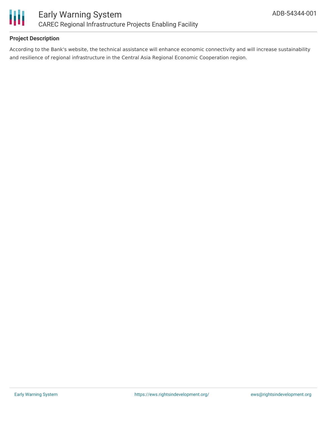

### **Project Description**

According to the Bank's website, the technical assistance will enhance economic connectivity and will increase sustainability and resilience of regional infrastructure in the Central Asia Regional Economic Cooperation region.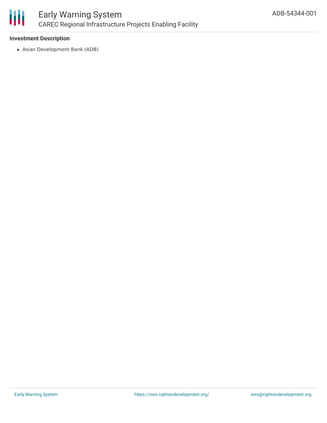

#### **Investment Description**

Asian Development Bank (ADB)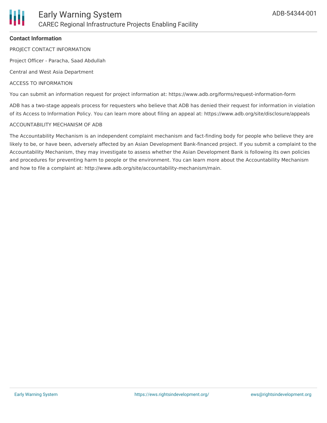#### **Contact Information**

PROJECT CONTACT INFORMATION

Project Officer - Paracha, Saad Abdullah

Central and West Asia Department

#### ACCESS TO INFORMATION

You can submit an information request for project information at: https://www.adb.org/forms/request-information-form

ADB has a two-stage appeals process for requesters who believe that ADB has denied their request for information in violation of its Access to Information Policy. You can learn more about filing an appeal at: https://www.adb.org/site/disclosure/appeals

#### ACCOUNTABILITY MECHANISM OF ADB

The Accountability Mechanism is an independent complaint mechanism and fact-finding body for people who believe they are likely to be, or have been, adversely affected by an Asian Development Bank-financed project. If you submit a complaint to the Accountability Mechanism, they may investigate to assess whether the Asian Development Bank is following its own policies and procedures for preventing harm to people or the environment. You can learn more about the Accountability Mechanism and how to file a complaint at: http://www.adb.org/site/accountability-mechanism/main.